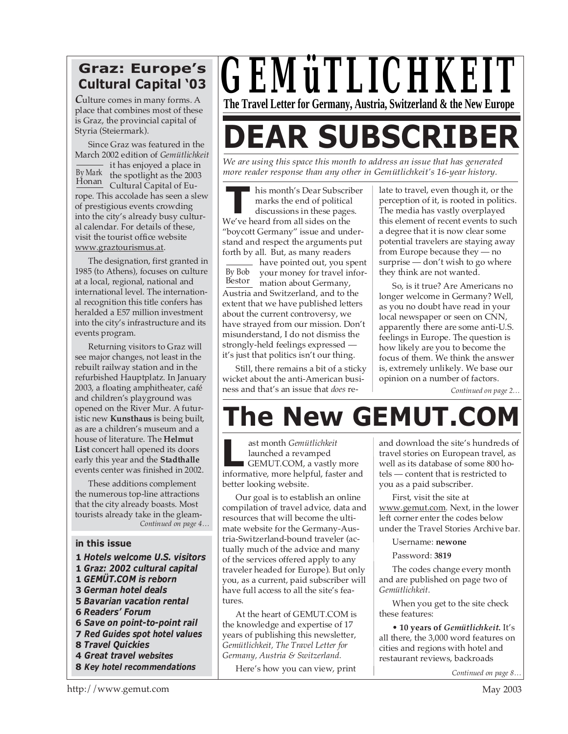### **Graz: Europe's Cultural Capital '03**

*C*ulture comes in many forms. A place that combines most of these is Graz, the provincial capital of Styria (Steiermark).

Since Graz was featured in the March 2002 edition of *Gemütlichkeit* - it has enjoyed a place in the spotlight as the 2003 Honan Cultural Capital of Europe. This accolade has seen a slew of prestigious events crowding into the city's already busy cultural calendar. For details of these, visit the tourist office website www.graztourismus.at. By Mark

The designation, first granted in 1985 (to Athens), focuses on culture at a local, regional, national and international level. The international recognition this title confers has heralded a E57 million investment into the city's infrastructure and its events program.

Returning visitors to Graz will see major changes, not least in the rebuilt railway station and in the refurbished Hauptplatz. In January 2003, a floating amphitheater, café and children's playground was opened on the River Mur. A futuristic new **Kunsthaus** is being built, as are a children's museum and a house of literature. The **Helmut List** concert hall opened its doors early this year and the **Stadthalle** events center was finished in 2002.

These additions complement the numerous top-line attractions that the city already boasts. Most tourists already take in the gleam-*Continued on page 4…*

#### **in this issue**

- **1** *Hotels welcome U.S. visitors*
- **1** *Graz: 2002 cultural capital*
- **1** *GEMÜT.COM is reborn*
- **3** *German hotel deals*
- **5** *Bavarian vacation rental*
- **6** *Readers' Forum*
- **6** *Save on point-to-point rail*
- **7** *Red Guides spot hotel values*
- **8** *Travel Quickies* **4** *Great travel websites*
- 
- **8** *Key hotel recommendations*



# **DEAR SUBSCRIBER**

*We are using this space this month to address an issue that has generated more reader response than any other in Gemütlichkeit's 16-year history.*

**TELEVIER ISSUE CONCREDENT**<br>
marks the end of politica<br>
discussions in these page<br>
We've heard from all sides on the his month's Dear Subscriber marks the end of political discussions in these pages. "boycott Germany" issue and understand and respect the arguments put forth by all. But, as many readers

By Bob Bestor mation about Germany, have pointed out, you spent your money for travel infor-Austria and Switzerland, and to the extent that we have published letters about the current controversy, we have strayed from our mission. Don't misunderstand, I do not dismiss the strongly-held feelings expressed it's just that politics isn't our thing.

Still, there remains a bit of a sticky wicket about the anti-American business and that's an issue that *does* relate to travel, even though it, or the perception of it, is rooted in politics. The media has vastly overplayed this element of recent events to such a degree that it is now clear some potential travelers are staying away from Europe because they — no surprise — don't wish to go where they think are not wanted.

So, is it true? Are Americans no longer welcome in Germany? Well, as you no doubt have read in your local newspaper or seen on CNN, apparently there are some anti-U.S. feelings in Europe. The question is how likely are you to become the focus of them. We think the answer is, extremely unlikely. We base our opinion on a number of factors.

*Continued on page 2…*

## **The New GEMUT.COM**

ast month *Gemütlichkeit* launched a revamped GEMUT.COM, a vastly more ast month *Gemütlichkeit*<br>launched a revamped<br>GEMUT.COM, a vastly more<br>informative, more helpful, faster and better looking website.

Our goal is to establish an online compilation of travel advice, data and resources that will become the ultimate website for the Germany-Austria-Switzerland-bound traveler (actually much of the advice and many of the services offered apply to any traveler headed for Europe). But only you, as a current, paid subscriber will have full access to all the site's features.

At the heart of GEMUT.COM is the knowledge and expertise of 17 years of publishing this newsletter, *Gemütlichkeit, The Travel Letter for Germany, Austria & Switzerland.*

Here's how you can view, print

and download the site's hundreds of travel stories on European travel, as well as its database of some 800 hotels — content that is restricted to you as a paid subscriber.

First, visit the site at www.gemut.com. Next, in the lower left corner enter the codes below under the Travel Stories Archive bar.

Username: **newone**

Password: **3819**

The codes change every month and are published on page two of *Gemütlichkeit*.

When you get to the site check these features:

• **10 years of** *Gemütlichkeit***.** It's all there, the 3,000 word features on cities and regions with hotel and restaurant reviews, backroads

*Continued on page 8…*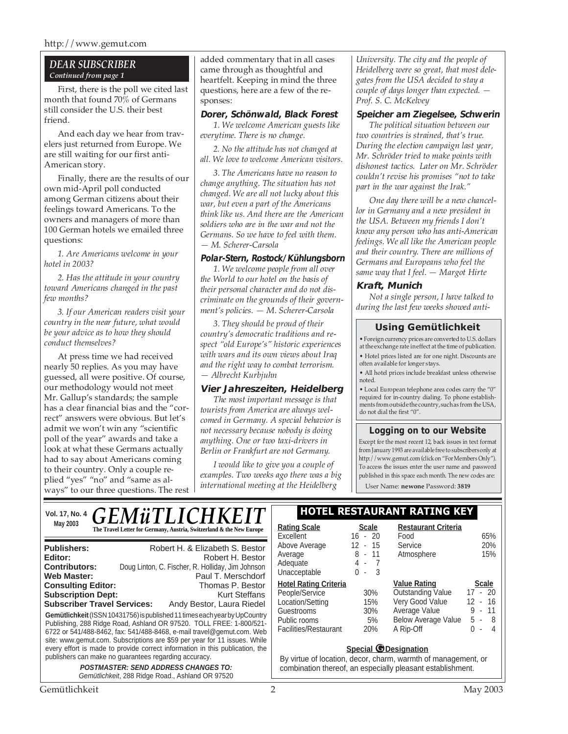#### *DEAR SUBSCRIBER Continued from page 1*

First, there is the poll we cited last month that found 70% of Germans still consider the U.S. their best friend.

And each day we hear from travelers just returned from Europe. We are still waiting for our first anti-American story.

Finally, there are the results of our own mid-April poll conducted among German citizens about their feelings toward Americans. To the owners and managers of more than 100 German hotels we emailed three questions:

*1. Are Americans welcome in your hotel in 2003?*

*2. Has the attitude in your country toward Americans changed in the past few months?*

*3. If our American readers visit your country in the near future, what would be your advice as to how they should conduct themselves?*

At press time we had received nearly 50 replies. As you may have guessed, all were positive. Of course, our methodology would not meet Mr. Gallup's standards; the sample has a clear financial bias and the "correct" answers were obvious. But let's admit we won't win any "scientific poll of the year" awards and take a look at what these Germans actually had to say about Americans coming to their country. Only a couple replied "yes" "no" and "same as always" to our three questions. The rest

added commentary that in all cases came through as thoughtful and heartfelt. Keeping in mind the three questions, here are a few of the responses:

#### **Dorer, Schönwald, Black Forest**

*1. We welcome American guests like everytime. There is no change.*

*2. No the attitude has not changed at all. We love to welcome American visitors.*

*3. The Americans have no reason to change anything. The situation has not changed. We are all not lucky about this war, but even a part of the Americans think like us. And there are the American soldiers who are in the war and not the Germans. So we have to feel with them. — M. Scherer-Carsola*

#### **Polar-Stern, Rostock/Kühlungsborn**

*1. We welcome people from all over the World to our hotel on the basis of their personal character and do not discriminate on the grounds of their government's policies. — M. Scherer-Carsola*

*3. They should be proud of their country's democratic traditions and respect "old Europe's" historic experiences with wars and its own views about Iraq and the right way to combat terrorism. — Albrecht Kurbjuhn*

#### **Vier Jahreszeiten, Heidelberg**

*The most important message is that tourists from America are always welcomed in Germany. A special behavior is not necessary because nobody is doing anything. One or two taxi-drivers in Berlin or Frankfurt are not Germany.*

*I would like to give you a couple of examples. Two weeks ago there was a big international meeting at the Heidelberg*

*University. The city and the people of Heidelberg were so great, that most delegates from the USA decided to stay a couple of days longer than expected. — Prof. S. C. McKelvey*

#### **Speicher am Ziegelsee, Schwerin**

*The political situation between our two countries is strained, that's true. During the election campaign last year, Mr. Schröder tried to make points with dishonest tactics. Later on Mr. Schröder couldn't revise his promises "not to take part in the war against the Irak."*

*One day there will be a new chancellor in Germany and a new president in the USA. Between my friends I don't know any person who has anti-American feelings. We all like the American people and their country. There are millions of Germans and Europeans who feel the same way that I feel. — Margot Hirte*

#### **Kraft, Munich**

*Not a single person, I have talked to during the last few weeks showed anti-*

#### **Using Gemütlichkeit**

• Foreign currency prices are converted to U.S. dollars at the exchange rate in effect at the time of publication. • Hotel prices listed are for one night. Discounts are

often available for longer stays. • All hotel prices include breakfast unless otherwise noted.

• Local European telephone area codes carry the "0" required for in-country dialing. To phone establishments from outside the country, such as from the USA, do not dial the first "0".

#### **Logging on to our Website**

Except for the most recent 12, back issues in text format from January 1993 are available free to subscribers only at http://www.gemut.com (click on "For Members Only"). To access the issues enter the user name and password published in this space each month. The new codes are:

User Name: **newone** Password: **3819**

#### Vol. 17, No. 4 **C E M A: TI I C H I V E I T** | HOTEL RESTAURANT RATING KEY **May 2003 Rating Scale Rating Scale Rating Scale Scale Rating Scale Scale Scale Scale Scale Rating Scale Scale** GE*NIUI* LI

| <b>Publishers:</b><br>Editor:                                                                                                                                                                                                                                                                                                                                                                                                                    | Robert H. & Elizabeth S. Bestor<br>Robert H. Bestor |  |  |  |  |
|--------------------------------------------------------------------------------------------------------------------------------------------------------------------------------------------------------------------------------------------------------------------------------------------------------------------------------------------------------------------------------------------------------------------------------------------------|-----------------------------------------------------|--|--|--|--|
| <b>Contributors:</b>                                                                                                                                                                                                                                                                                                                                                                                                                             | Doug Linton, C. Fischer, R. Holliday, Jim Johnson   |  |  |  |  |
| <b>Web Master:</b>                                                                                                                                                                                                                                                                                                                                                                                                                               | Paul T. Merschdorf                                  |  |  |  |  |
| <b>Consulting Editor:</b>                                                                                                                                                                                                                                                                                                                                                                                                                        | Thomas P. Bestor                                    |  |  |  |  |
| <b>Subscription Dept:</b>                                                                                                                                                                                                                                                                                                                                                                                                                        | Kurt Steffans                                       |  |  |  |  |
| <b>Subscriber Travel Services:</b>                                                                                                                                                                                                                                                                                                                                                                                                               | Andy Bestor, Laura Riedel                           |  |  |  |  |
| Gemütlichkeit (ISSN 10431756) is published 11 times each year by UpCountry<br>Publishing, 288 Ridge Road, Ashland OR 97520. TOLL FREE: 1-800/521-<br>6722 or 541/488-8462, fax: 541/488-8468, e-mail travel@gemut.com. Web<br>site: www.gemut.com. Subscriptions are \$59 per year for 11 issues. While<br>every effort is made to provide correct information in this publication, the<br>publishers can make no guarantees regarding accuracy. |                                                     |  |  |  |  |
| <b>POSTMASTER: SEND ADDRESS CHANGES TO:</b>                                                                                                                                                                                                                                                                                                                                                                                                      |                                                     |  |  |  |  |
|                                                                                                                                                                                                                                                                                                                                                                                                                                                  | Gemütlichkeit, 288 Ridge Road, Ashland OR 97520     |  |  |  |  |

| <b>Rating Scale</b>          | Scale                              | <b>Restaurant Criteria</b> |                          |
|------------------------------|------------------------------------|----------------------------|--------------------------|
| Excellent                    | $-20$<br>16                        | Food                       | 65%                      |
| Above Average                | $12 - 15$                          | Service                    | 20%                      |
| Average                      | 8 - 11                             | Atmosphere                 | 15%                      |
| Adequate                     | 4 -<br>- 7                         |                            |                          |
| Unacceptable                 | 3<br>0<br>$\overline{\phantom{a}}$ |                            |                          |
| <b>Hotel Rating Criteria</b> |                                    | <b>Value Rating</b>        | <b>Scale</b>             |
| People/Service               | 30%                                | <b>Outstanding Value</b>   | $17 - 20$                |
| Location/Setting             | 15%                                | Very Good Value            | - 16<br>12 <sup>12</sup> |
| Guestrooms                   | 30%                                | Average Value              | - 11<br>9                |
| Public rooms                 | 5%                                 | <b>Below Average Value</b> | 5 -<br>-8                |
| Facilities/Restaurant        | 20%                                | A Rip-Off                  | N<br>4<br>٠              |
|                              |                                    |                            |                          |

#### **Special © Designation**

By virtue of location, decor, charm, warmth of management, or combination thereof, an especially pleasant establishment.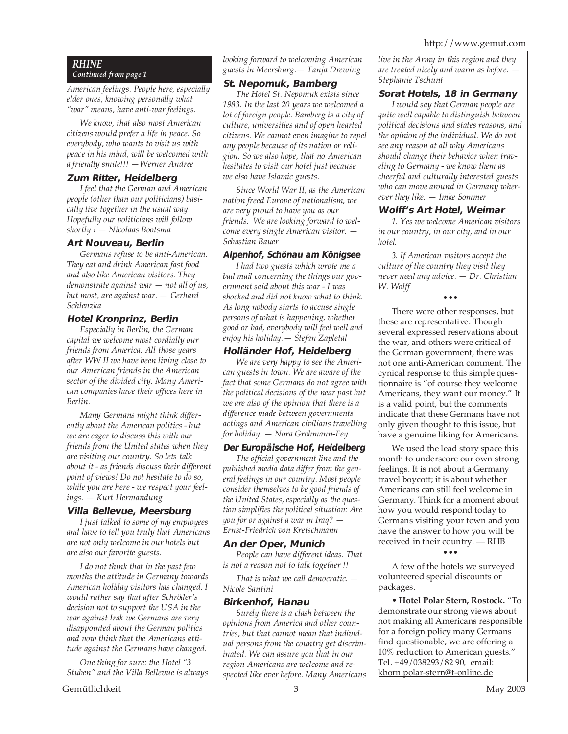#### *RHINE Continued from page 1*

*American feelings. People here, especially elder ones, knowing personally what "war" means, have anti-war feelings.*

*We know, that also most American citizens would prefer a life in peace. So everybody, who wants to visit us with peace in his mind, will be welcomed with a friendly smile!!! —Werner Andree*

#### **Zum Ritter, Heidelberg**

*I feel that the German and American people (other than our politicians) basically live together in the usual way. Hopefully our politicians will follow shortly ! — Nicolaas Bootsma*

#### **Art Nouveau, Berlin**

*Germans refuse to be anti-American. They eat and drink American fast food and also like American visitors. They demonstrate against war — not all of us, but most, are against war. — Gerhard Schlenzka*

#### **Hotel Kronprinz, Berlin**

*Especially in Berlin, the German capital we welcome most cordially our friends from America. All those years after WW II we have been living close to our American friends in the American sector of the divided city. Many American companies have their offices here in Berlin.*

*Many Germans might think differently about the American politics - but we are eager to discuss this with our friends from the United states when they are visiting our country. So lets talk about it - as friends discuss their different point of views! Do not hesitate to do so, while you are here - we respect your feelings. — Kurt Hermandung*

#### **Villa Bellevue, Meersburg**

*I just talked to some of my employees and have to tell you truly that Americans are not only welcome in our hotels but are also our favorite guests.*

*I do not think that in the past few months the attitude in Germany towards American holiday visitors has changed. I would rather say that after Schröder's decision not to support the USA in the war against Irak we Germans are very disappointed about the German politics and now think that the Americans attitude against the Germans have changed.*

*One thing for sure: the Hotel "3 Stuben" and the Villa Bellevue is always* *looking forward to welcoming American guests in Meersburg.— Tanja Drewing*

#### **St. Nepomuk, Bamberg**

*The Hotel St. Nepomuk exists since 1983. In the last 20 years we welcomed a lot of foreign people. Bamberg is a city of culture, universities and of open hearted citizens. We cannot even imagine to repel any people because of its nation or religion. So we also hope, that no American hesitates to visit our hotel just because we also have Islamic guests.*

*Since World War II, as the American nation freed Europe of nationalism, we are very proud to have you as our friends. We are looking forward to welcome every single American visitor. — Sebastian Bauer*

#### **Alpenhof, Schönau am Königsee**

*I had two guests which wrote me a bad mail concerning the things our government said about this war - I was shocked and did not know what to think. As long nobody starts to accuse single persons of what is happening, whether good or bad, everybody will feel well and enjoy his holiday.— Stefan Zapletal*

#### **Holländer Hof, Heidelberg**

*We are very happy to see the American guests in town. We are aware of the fact that some Germans do not agree with the political decisions of the near past but we are also of the opinion that there is a difference made between governments actings and American civilians travelling for holiday. — Nora Grohmann-Fey*

#### **Der Europäische Hof, Heidelberg**

*The official government line and the published media data differ from the general feelings in our country. Most people consider themselves to be good friends of the United States, especially as the question simplifies the political situation: Are you for or against a war in Iraq? — Ernst-Friedrich von Kretschmann*

#### **An der Oper, Munich**

*People can have different ideas. That is not a reason not to talk together !!*

*That is what we call democratic. — Nicole Santini*

#### **Birkenhof, Hanau**

*Surely there is a clash between the opinions from America and other countries, but that cannot mean that individual persons from the country get discriminated. We can assure you that in our region Americans are welcome and respected like ever before. Many Americans* *live in the Army in this region and they are treated nicely and warm as before. — Stephanie Tschunt*

#### **Sorat Hotels, 18 in Germany**

*I would say that German people are quite well capable to distinguish between political decisions and states reasons, and the opinion of the individual. We do not see any reason at all why Americans should change their behavior when traveling to Germany - we know them as cheerful and culturally interested guests who can move around in Germany wherever they like. — Imke Sommer*

#### **Wolff's Art Hotel, Weimar**

*1. Yes we welcome American visitors in our country, in our city, and in our hotel.*

*3. If American visitors accept the culture of the country they visit they never need any advice. — Dr. Christian W. Wolff*

#### •••

There were other responses, but these are representative. Though several expressed reservations about the war, and others were critical of the German government, there was not one anti-American comment. The cynical response to this simple questionnaire is "of course they welcome Americans, they want our money." It is a valid point, but the comments indicate that these Germans have not only given thought to this issue, but have a genuine liking for Americans.

We used the lead story space this month to underscore our own strong feelings. It is not about a Germany travel boycott; it is about whether Americans can still feel welcome in Germany. Think for a moment about how you would respond today to Germans visiting your town and you have the answer to how you will be received in their country. — RHB

•••

A few of the hotels we surveyed volunteered special discounts or packages.

• **Hotel Polar Stern, Rostock.** "To demonstrate our strong views about not making all Americans responsible for a foreign policy many Germans find questionable, we are offering a 10% reduction to American guests." Tel. +49/038293/82 90, email: kborn.polar-stern@t-online.de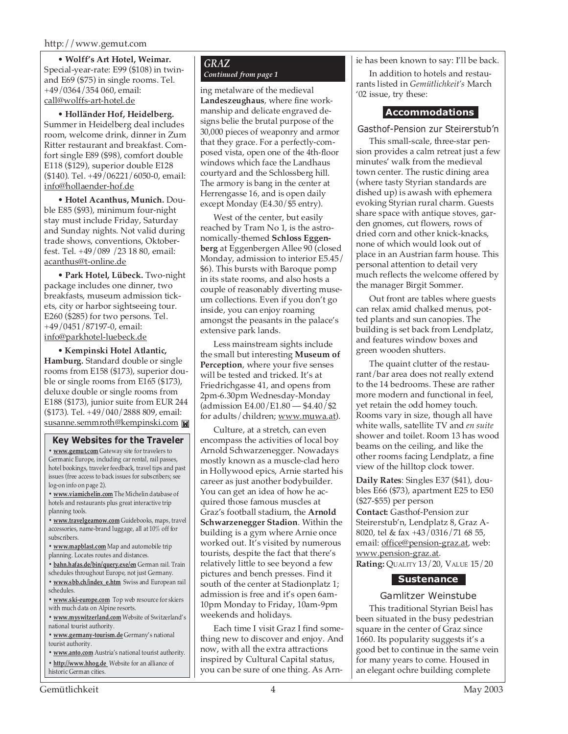• **Wolff's Art Hotel, Weimar.** Special-year-rate: E99 (\$108) in twinand E69 (\$75) in single rooms. Tel. +49/0364/354 060, email: call@wolffs-art-hotel.de

• **Holländer Hof, Heidelberg.** Summer in Heidelberg deal includes room, welcome drink, dinner in Zum Ritter restaurant and breakfast. Comfort single E89 (\$98), comfort double E118 (\$129), superior double E128 (\$140). Tel. +49/06221/6050-0, email: info@hollaender-hof.de

• **Hotel Acanthus, Munich.** Double E85 (\$93), minimum four-night stay must include Friday, Saturday and Sunday nights. Not valid during trade shows, conventions, Oktoberfest. Tel. +49/089 /23 18 80, email: acanthus@t-online.de

• **Park Hotel, Lübeck.** Two-night package includes one dinner, two breakfasts, museum admission tickets, city or harbor sightseeing tour. E260 (\$285) for two persons. Tel. +49/0451/87197-0, email: info@parkhotel-luebeck.de

• **Kempinski Hotel Atlantic, Hamburg.** Standard double or single rooms from E158 (\$173), superior double or single rooms from E165 (\$173), deluxe double or single rooms from E188 (\$173), junior suite from EUR 244 (\$173). Tel. +49/040/2888 809, email: susanne.semmroth@kempinski.com

#### **Key Websites for the Traveler**

**• www.gemut.com** Gateway site for travelers to Germanic Europe, including car rental, rail passes, hotel bookings, traveler feedback, travel tips and past issues (free access to back issues for subscribers; see log-on info on page 2).

**• www.viamichelin.com** The Michelin database of hotels and restaurants plus great interactive trip planning tools.

**• www.travelgearnow.com** Guidebooks, maps, travel accessories, name-brand luggage, all at 10% off for subscribers.

**• www.mapblast.com** Map and automobile trip planning. Locates routes and distances.

**• bahn.hafas.de/bin/query.exe/en** German rail. Train schedules throughout Europe, not just Germany.

**• www.sbb.ch/index\_e.htm** Swiss and European rail schedules.

**• www.ski-europe.com** Top web resource for skiers with much data on Alpine resorts.

**• www.myswitzerland.com** Website of Switzerland's national tourist authority.

**• www.germany-tourism.de** Germany's national tourist authority.

**• www.anto.com** Austria's national tourist authority. **• http://www.hhog.de** Website for an alliance of historic German cities.

#### *GRAZ Continued from page 1*

ing metalware of the medieval **Landeszeughaus**, where fine workmanship and delicate engraved designs belie the brutal purpose of the 30,000 pieces of weaponry and armor that they grace. For a perfectly-composed vista, open one of the 4th-floor windows which face the Landhaus courtyard and the Schlossberg hill. The armory is bang in the center at Herrengasse 16, and is open daily except Monday (E4.30/\$5 entry).

West of the center, but easily reached by Tram No 1, is the astronomically-themed **Schloss Eggenberg** at Eggenbergen Allee 90 (closed Monday, admission to interior E5.45/ \$6). This bursts with Baroque pomp in its state rooms, and also hosts a couple of reasonably diverting museum collections. Even if you don't go inside, you can enjoy roaming amongst the peasants in the palace's extensive park lands.

Less mainstream sights include the small but interesting **Museum of Perception**, where your five senses will be tested and tricked. It's at Friedrichgasse 41, and opens from 2pm-6.30pm Wednesday-Monday (admission E4.00/E1.80 — \$4.40/\$2 for adults/children; www.muwa.at).

Culture, at a stretch, can even encompass the activities of local boy Arnold Schwarzenegger. Nowadays mostly known as a muscle-clad hero in Hollywood epics, Arnie started his career as just another bodybuilder. You can get an idea of how he acquired those famous muscles at Graz's football stadium, the **Arnold Schwarzenegger Stadion**. Within the building is a gym where Arnie once worked out. It's visited by numerous tourists, despite the fact that there's relatively little to see beyond a few pictures and bench presses. Find it south of the center at Stadionplatz 1; admission is free and it's open 6am-10pm Monday to Friday, 10am-9pm weekends and holidays.

Each time I visit Graz I find something new to discover and enjoy. And now, with all the extra attractions inspired by Cultural Capital status, you can be sure of one thing. As Arnie has been known to say: I'll be back.

In addition to hotels and restaurants listed in *Gemütlichkeit's* March '02 issue, try these:

#### **Accommodations**

#### Gasthof-Pension zur Steirerstub'n

This small-scale, three-star pension provides a calm retreat just a few minutes' walk from the medieval town center. The rustic dining area (where tasty Styrian standards are dished up) is awash with ephemera evoking Styrian rural charm. Guests share space with antique stoves, garden gnomes, cut flowers, rows of dried corn and other knick-knacks, none of which would look out of place in an Austrian farm house. This personal attention to detail very much reflects the welcome offered by the manager Birgit Sommer.

Out front are tables where guests can relax amid chalked menus, potted plants and sun canopies. The building is set back from Lendplatz, and features window boxes and green wooden shutters.

The quaint clutter of the restaurant/bar area does not really extend to the 14 bedrooms. These are rather more modern and functional in feel, yet retain the odd homey touch. Rooms vary in size, though all have white walls, satellite TV and *en suite* shower and toilet. Room 13 has wood beams on the ceiling, and like the other rooms facing Lendplatz, a fine view of the hilltop clock tower.

**Daily Rates**: Singles E37 (\$41), doubles E66 (\$73), apartment E25 to E50 (\$27-\$55) per person

**Contact:** Gasthof-Pension zur Steirerstub'n, Lendplatz 8, Graz A-8020, tel & fax +43/0316/71 68 55, email: office@pension-graz.at, web: www.pension-graz.at.

**Rating:** QUALITY 13/20, VALUE 15/20

#### **Sustenance**

Gamlitzer Weinstube This traditional Styrian Beisl has been situated in the busy pedestrian square in the center of Graz since 1660. Its popularity suggests it's a good bet to continue in the same vein for many years to come. Housed in an elegant ochre building complete

Gemütlichkeit 4 May 2003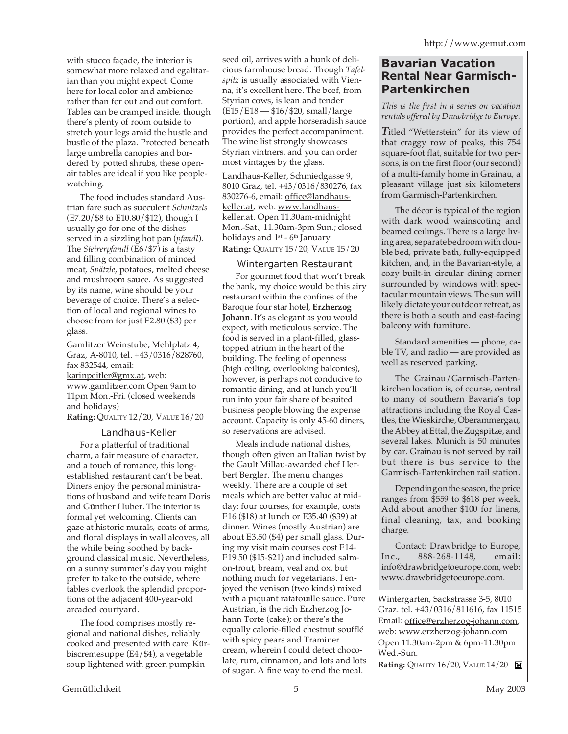with stucco façade, the interior is somewhat more relaxed and egalitarian than you might expect. Come here for local color and ambience rather than for out and out comfort. Tables can be cramped inside, though there's plenty of room outside to stretch your legs amid the hustle and bustle of the plaza. Protected beneath large umbrella canopies and bordered by potted shrubs, these openair tables are ideal if you like peoplewatching.

The food includes standard Austrian fare such as succulent *Schnitzels* (E7.20/\$8 to E10.80/\$12), though I usually go for one of the dishes served in a sizzling hot pan (*pfandl*). The *Steirerpfandl* (E6/\$7) is a tasty and filling combination of minced meat, *Spätzle*, potatoes, melted cheese and mushroom sauce. As suggested by its name, wine should be your beverage of choice. There's a selection of local and regional wines to choose from for just E2.80 (\$3) per glass.

Gamlitzer Weinstube, Mehlplatz 4, Graz, A-8010, tel. +43/0316/828760, fax 832544, email: karinpeitler@gmx.at, web: www.gamlitzer.com Open 9am to 11pm Mon.-Fri. (closed weekends and holidays)

**Rating:** QUALITY 12/20, VALUE 16/20

#### Landhaus-Keller

For a platterful of traditional charm, a fair measure of character, and a touch of romance, this longestablished restaurant can't be beat. Diners enjoy the personal ministrations of husband and wife team Doris and Günther Huber. The interior is formal yet welcoming. Clients can gaze at historic murals, coats of arms, and floral displays in wall alcoves, all the while being soothed by background classical music. Nevertheless, on a sunny summer's day you might prefer to take to the outside, where tables overlook the splendid proportions of the adjacent 400-year-old arcaded courtyard.

The food comprises mostly regional and national dishes, reliably cooked and presented with care. Kürbiscremesuppe (E4/\$4), a vegetable soup lightened with green pumpkin

seed oil, arrives with a hunk of delicious farmhouse bread. Though *Tafelspitz* is usually associated with Vienna, it's excellent here. The beef, from Styrian cows, is lean and tender (E15/E18 — \$16/\$20, small/large portion), and apple horseradish sauce provides the perfect accompaniment. The wine list strongly showcases Styrian vintners, and you can order most vintages by the glass.

Landhaus-Keller, Schmiedgasse 9, 8010 Graz, tel. +43/0316/830276, fax 830276-6, email: office@landhauskeller.at, web: www.landhauskeller.at. Open 11.30am-midnight Mon.-Sat., 11.30am-3pm Sun.; closed holidays and  $1<sup>st</sup>$  -  $6<sup>th</sup>$  January **Rating:** QUALITY 15/20, VALUE 15/20

#### Wintergarten Restaurant

For gourmet food that won't break the bank, my choice would be this airy restaurant within the confines of the Baroque four star hotel, **Erzherzog Johann**. It's as elegant as you would expect, with meticulous service. The food is served in a plant-filled, glasstopped atrium in the heart of the building. The feeling of openness (high ceiling, overlooking balconies), however, is perhaps not conducive to romantic dining, and at lunch you'll run into your fair share of besuited business people blowing the expense account. Capacity is only 45-60 diners, so reservations are advised.

Meals include national dishes, though often given an Italian twist by the Gault Millau-awarded chef Herbert Bergler. The menu changes weekly. There are a couple of set meals which are better value at midday: four courses, for example, costs E16 (\$18) at lunch or E35.40 (\$39) at dinner. Wines (mostly Austrian) are about E3.50 (\$4) per small glass. During my visit main courses cost E14- E19.50 (\$15-\$21) and included salmon-trout, bream, veal and ox, but nothing much for vegetarians. I enjoyed the venison (two kinds) mixed with a piquant ratatouille sauce. Pure Austrian, is the rich Erzherzog Johann Torte (cake); or there's the equally calorie-filled chestnut soufflé with spicy pears and Traminer cream, wherein I could detect chocolate, rum, cinnamon, and lots and lots of sugar. A fine way to end the meal.

#### **Bavarian Vacation Rental Near Garmisch-Partenkirchen**

*This is the first in a series on vacation rentals offered by Drawbridge to Europe.*

*T*itled "Wetterstein" for its view of that craggy row of peaks, this 754 square-foot flat, suitable for two persons, is on the first floor (our second) of a multi-family home in Grainau, a pleasant village just six kilometers from Garmisch-Partenkirchen.

The décor is typical of the region with dark wood wainscoting and beamed ceilings. There is a large living area, separate bedroom with double bed, private bath, fully-equipped kitchen, and, in the Bavarian-style, a cozy built-in circular dining corner surrounded by windows with spectacular mountain views. The sun will likely dictate your outdoor retreat, as there is both a south and east-facing balcony with furniture.

Standard amenities — phone, cable TV, and radio — are provided as well as reserved parking.

The Grainau/Garmisch-Partenkirchen location is, of course, central to many of southern Bavaria's top attractions including the Royal Castles, the Wieskirche, Oberammergau, the Abbey at Ettal, the Zugspitze, and several lakes. Munich is 50 minutes by car. Grainau is not served by rail but there is bus service to the Garmisch-Partenkirchen rail station.

Depending on the season, the price ranges from \$559 to \$618 per week. Add about another \$100 for linens, final cleaning, tax, and booking charge.

Contact: Drawbridge to Europe, Inc., 888-268-1148, email: info@drawbridgetoeurope.com, web: www.drawbridgetoeurope.com.

Wintergarten, Sackstrasse 3-5, 8010 Graz. tel. +43/0316/811616, fax 11515 Email: office@erzherzog-johann.com, web: www.erzherzog-johann.com Open 11.30am-2pm & 6pm-11.30pm Wed.-Sun.

**Rating:** QUALITY 16/20, VALUE 14/20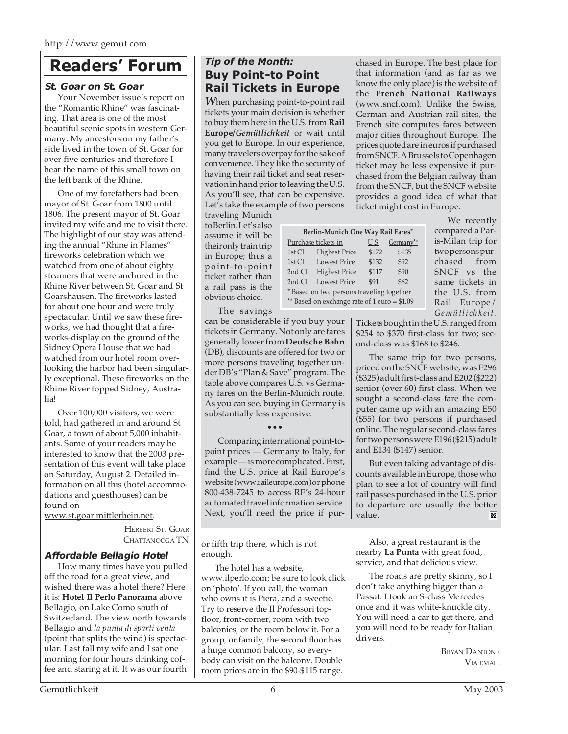## **Readers' Forum**

#### **St. Goar on St. Goar**

Your November issue's report on the "Romantic Rhine" was fascinating. That area is one of the most beautiful scenic spots in western Germany. My ancestors on my father's side lived in the town of St. Goar for over five centuries and therefore I bear the name of this small town on the left bank of the Rhine.

One of my forefathers had been mayor of St. Goar from 1800 until 1806. The present mayor of St. Goar invited my wife and me to visit there. The highlight of our stay was attending the annual "Rhine in Flames" fireworks celebration which we watched from one of about eighty steamers that were anchored in the Rhine River between St. Goar and St Goarshausen. The fireworks lasted for about one hour and were truly spectacular. Until we saw these fireworks, we had thought that a fireworks-display on the ground of the Sidney Opera House that we had watched from our hotel room overlooking the harbor had been singularly exceptional. These fireworks on the Rhine River topped Sidney, Australia!

Over 100,000 visitors, we were told, had gathered in and around St Goar, a town of about 5,000 inhabitants. Some of your readers may be interested to know that the 2003 presentation of this event will take place on Saturday, August 2. Detailed information on all this (hotel accommodations and guesthouses) can be found on

www.st.goar.mittlerhein.net.

HERBERT ST. GOAR CHATTANOOGA TN

#### **Affordable Bellagio Hotel**

How many times have you pulled off the road for a great view, and wished there was a hotel there? Here it is: **Hotel Il Perlo Panorama** above Bellagio, on Lake Como south of Switzerland. The view north towards Bellagio and *la punta di sparti venta* (point that splits the wind) is spectacular. Last fall my wife and I sat one morning for four hours drinking coffee and staring at it. It was our fourth

#### *Tip of the Month:* **Buy Point-to Point Rail Tickets in Europe**

*W*hen purchasing point-to-point rail tickets your main decision is whether to buy them here in the U.S. from **Rail Europe***/Gemütlichkeit* or wait until you get to Europe. In our experience, many travelers overpay for the sake of convenience. They like the security of having their rail ticket and seat reservation in hand prior to leaving the U.S. As you'll see, that can be expensive. Let's take the example of two persons

traveling Munich to Berlin. Let's also assume it will be their only train trip in Europe; thus a point-to-point ticket rather than a rail pass is the obvious choice.

The savings

can be considerable if you buy your tickets in Germany. Not only are fares generally lower from **Deutsche Bahn** (DB), discounts are offered for two or more persons traveling together under DB's "Plan & Save" program. The table above compares U.S. vs Germany fares on the Berlin-Munich route. As you can see, buying in Germany is

| Berlin-Munich One Way Rail Fares*            |                      |       |           |  |  |
|----------------------------------------------|----------------------|-------|-----------|--|--|
| Purchase tickets in                          |                      | U.S   | Germany** |  |  |
| 1st Cl                                       | <b>Highest Price</b> | \$172 | \$135     |  |  |
| 1st $Cl$                                     | <b>Lowest Price</b>  | \$132 | \$92      |  |  |
| 2nd Cl                                       | <b>Highest Price</b> | \$117 | \$90      |  |  |
| $2nd$ $Cl$                                   | <b>Lowest Price</b>  | \$91  | \$62      |  |  |
| * Based on two persons traveling together    |                      |       |           |  |  |
| ** Based on exchange rate of 1 euro = \$1.09 |                      |       |           |  |  |
|                                              |                      |       |           |  |  |

chased in Europe. The best place for that information (and as far as we know the only place) is the website of the **French National Railways** (www.sncf.com). Unlike the Swiss, German and Austrian rail sites, the French site computes fares between major cities throughout Europe. The prices quoted are in euros if purchased from SNCF. A Brussels to Copenhagen ticket may be less expensive if purchased from the Belgian railway than from the SNCF, but the SNCF website provides a good idea of what that ticket might cost in Europe.

> We recently compared a Paris-Milan trip for two persons purchased from SNCF vs the same tickets in the U.S. from Rail Europe/ *Gemütlichkeit.*

Tickets bought in the U.S. ranged from \$254 to \$370 first-class for two; second-class was \$168 to \$246.

The same trip for two persons, priced on the SNCF website, was E296 (\$325) adult first-class and E202 (\$222) senior (over 60) first class. When we sought a second-class fare the computer came up with an amazing E50 (\$55) for two persons if purchased online. The regular second-class fares for two persons were E196 (\$215) adult and E134 (\$147) senior.

But even taking advantage of discounts available in Europe, those who plan to see a lot of country will find rail passes purchased in the U.S. prior to departure are usually the better value. ÌМ

or fifth trip there, which is not enough.

substantially less expensive.

••• Comparing international point-topoint prices — Germany to Italy, for example — is more complicated. First, find the U.S. price at Rail Europe's website (www.raileurope.com)or phone 800-438-7245 to access RE's 24-hour automated travel information service. Next, you'll need the price if pur-

The hotel has a website, www.ilperlo.com; be sure to look click on 'photo'. If you call, the woman who owns it is Piera, and a sweetie. Try to reserve the Il Professori topfloor, front-corner, room with two balconies, or the room below it. For a group, or family, the second floor has a huge common balcony, so everybody can visit on the balcony. Double room prices are in the \$90-\$115 range.

Also, a great restaurant is the nearby **La Punta** with great food, service, and that delicious view.

The roads are pretty skinny, so I don't take anything bigger than a Passat. I took an S-class Mercedes once and it was white-knuckle city. You will need a car to get there, and you will need to be ready for Italian drivers.

> BRYAN DANTONE VIA EMAIL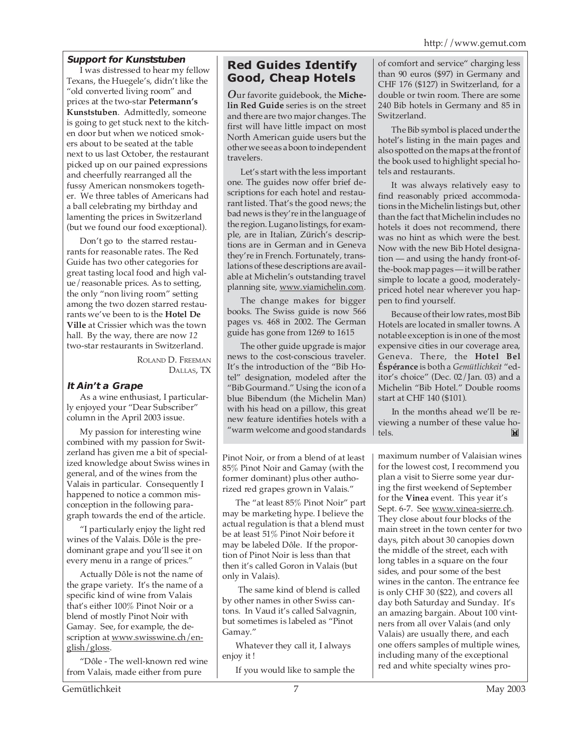#### **Support for Kunststuben**

I was distressed to hear my fellow Texans, the Huegele's, didn't like the "old converted living room" and prices at the two-star **Petermann's Kunststuben**. Admittedly, someone is going to get stuck next to the kitchen door but when we noticed smokers about to be seated at the table next to us last October, the restaurant picked up on our pained expressions and cheerfully rearranged all the fussy American nonsmokers together. We three tables of Americans had a ball celebrating my birthday and lamenting the prices in Switzerland (but we found our food exceptional).

Don't go to the starred restaurants for reasonable rates. The Red Guide has two other categories for great tasting local food and high value/reasonable prices. As to setting, the only "non living room" setting among the two dozen starred restaurants we've been to is the **Hotel De Ville** at Crissier which was the town hall. By the way, there are now *12* two-star restaurants in Switzerland.

> ROLAND D. FREEMAN DALLAS, TX

#### **It Ain't a Grape**

As a wine enthusiast, I particularly enjoyed your "Dear Subscriber" column in the April 2003 issue.

My passion for interesting wine combined with my passion for Switzerland has given me a bit of specialized knowledge about Swiss wines in general, and of the wines from the Valais in particular. Consequently I happened to notice a common misconception in the following paragraph towards the end of the article.

"I particularly enjoy the light red wines of the Valais. Dôle is the predominant grape and you'll see it on every menu in a range of prices."

Actually Dôle is not the name of the grape variety. It's the name of a specific kind of wine from Valais that's either 100% Pinot Noir or a blend of mostly Pinot Noir with Gamay. See, for example, the description at www.swisswine.ch/english/gloss.

"Dôle - The well-known red wine from Valais, made either from pure

### **Red Guides Identify Good, Cheap Hotels**

*O*ur favorite guidebook, the **Michelin Red Guide** series is on the street and there are two major changes. The first will have little impact on most North American guide users but the other we see as a boon to independent travelers.

Let's start with the less important one. The guides now offer brief descriptions for each hotel and restaurant listed. That's the good news; the bad news is they're in the language of the region. Lugano listings, for example, are in Italian, Zürich's descriptions are in German and in Geneva they're in French. Fortunately, translations of these descriptions are available at Michelin's outstanding travel planning site, www.viamichelin.com.

The change makes for bigger books. The Swiss guide is now 566 pages vs. 468 in 2002. The German guide has gone from 1269 to 1615

The other guide upgrade is major news to the cost-conscious traveler. It's the introduction of the "Bib Hotel" designation, modeled after the "Bib Gourmand." Using the icon of a blue Bibendum (the Michelin Man) with his head on a pillow, this great new feature identifies hotels with a "warm welcome and good standards

Pinot Noir, or from a blend of at least 85% Pinot Noir and Gamay (with the former dominant) plus other authorized red grapes grown in Valais."

The "at least 85% Pinot Noir" part may be marketing hype. I believe the actual regulation is that a blend must be at least 51% Pinot Noir before it may be labeled Dôle. If the proportion of Pinot Noir is less than that then it's called Goron in Valais (but only in Valais).

 The same kind of blend is called by other names in other Swiss cantons. In Vaud it's called Salvagnin, but sometimes is labeled as "Pinot Gamay."

Whatever they call it, I always enjoy it !

If you would like to sample the

of comfort and service" charging less than 90 euros (\$97) in Germany and CHF 176 (\$127) in Switzerland, for a double or twin room. There are some 240 Bib hotels in Germany and 85 in Switzerland.

The Bib symbol is placed under the hotel's listing in the main pages and also spotted on the maps at the front of the book used to highlight special hotels and restaurants.

It was always relatively easy to find reasonably priced accommodations in the Michelin listings but, other than the fact that Michelin includes no hotels it does not recommend, there was no hint as which were the best. Now with the new Bib Hotel designation — and using the handy front-ofthe-book map pages — it will be rather simple to locate a good, moderatelypriced hotel near wherever you happen to find yourself.

Because of their low rates, most Bib Hotels are located in smaller towns. A notable exception is in one of the most expensive cities in our coverage area, Geneva. There, the **Hotel Bel Éspérance** is both a *Gemütlichkeit* "editor's choice" (Dec. 02/Jan. 03) and a Michelin "Bib Hotel." Double rooms start at CHF 140 (\$101).

In the months ahead we'll be reviewing a number of these value hotels. M

maximum number of Valaisian wines for the lowest cost, I recommend you plan a visit to Sierre some year during the first weekend of September for the **Vinea** event. This year it's Sept. 6-7. See www.vinea-sierre.ch. They close about four blocks of the main street in the town center for two days, pitch about 30 canopies down the middle of the street, each with long tables in a square on the four sides, and pour some of the best wines in the canton. The entrance fee is only CHF 30 (\$22), and covers all day both Saturday and Sunday. It's an amazing bargain. About 100 vintners from all over Valais (and only Valais) are usually there, and each one offers samples of multiple wines, including many of the exceptional red and white specialty wines pro-